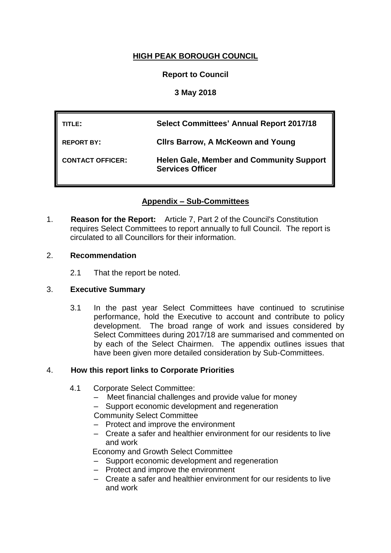# **HIGH PEAK BOROUGH COUNCIL**

# **Report to Council**

# **3 May 2018**

| TITLE:                  | <b>Select Committees' Annual Report 2017/18</b>                            |
|-------------------------|----------------------------------------------------------------------------|
| <b>REPORT BY:</b>       | <b>CIIrs Barrow, A McKeown and Young</b>                                   |
| <b>CONTACT OFFICER:</b> | <b>Helen Gale, Member and Community Support</b><br><b>Services Officer</b> |

# **Appendix – Sub-Committees**

1. **Reason for the Report:** Article 7, Part 2 of the Council's Constitution requires Select Committees to report annually to full Council. The report is circulated to all Councillors for their information.

## 2. **Recommendation**

2.1 That the report be noted.

**WARDS INVOLVED: All**

## 3. **Executive Summary**

3.1 In the past year Select Committees have continued to scrutinise performance, hold the Executive to account and contribute to policy development. The broad range of work and issues considered by Select Committees during 2017/18 are summarised and commented on by each of the Select Chairmen. The appendix outlines issues that have been given more detailed consideration by Sub-Committees.

## 4. **How this report links to Corporate Priorities**

- 4.1 Corporate Select Committee:
	- Meet financial challenges and provide value for money
	- Support economic development and regeneration

Community Select Committee

- Protect and improve the environment
- Create a safer and healthier environment for our residents to live and work

Economy and Growth Select Committee

- Support economic development and regeneration
- Protect and improve the environment
- Create a safer and healthier environment for our residents to live and work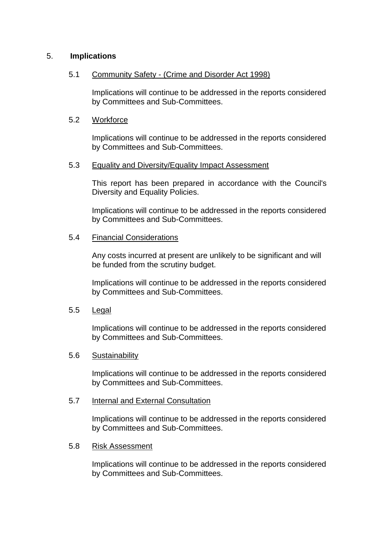## 5. **Implications**

### 5.1 Community Safety - (Crime and Disorder Act 1998)

Implications will continue to be addressed in the reports considered by Committees and Sub-Committees.

### 5.2 Workforce

Implications will continue to be addressed in the reports considered by Committees and Sub-Committees.

### 5.3 Equality and Diversity/Equality Impact Assessment

This report has been prepared in accordance with the Council's Diversity and Equality Policies.

Implications will continue to be addressed in the reports considered by Committees and Sub-Committees.

### 5.4 Financial Considerations

Any costs incurred at present are unlikely to be significant and will be funded from the scrutiny budget.

Implications will continue to be addressed in the reports considered by Committees and Sub-Committees.

#### 5.5 Legal

Implications will continue to be addressed in the reports considered by Committees and Sub-Committees.

#### 5.6 Sustainability

Implications will continue to be addressed in the reports considered by Committees and Sub-Committees.

#### 5.7 Internal and External Consultation

Implications will continue to be addressed in the reports considered by Committees and Sub-Committees.

## 5.8 Risk Assessment

Implications will continue to be addressed in the reports considered by Committees and Sub-Committees.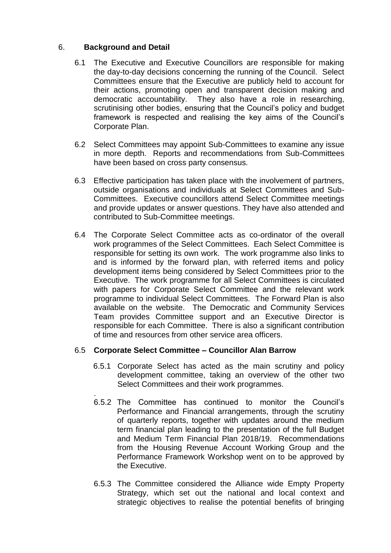# 6. **Background and Detail**

- 6.1 The Executive and Executive Councillors are responsible for making the day-to-day decisions concerning the running of the Council. Select Committees ensure that the Executive are publicly held to account for their actions, promoting open and transparent decision making and democratic accountability. They also have a role in researching, scrutinising other bodies, ensuring that the Council's policy and budget framework is respected and realising the key aims of the Council's Corporate Plan.
- 6.2 Select Committees may appoint Sub-Committees to examine any issue in more depth. Reports and recommendations from Sub-Committees have been based on cross party consensus.
- 6.3 Effective participation has taken place with the involvement of partners, outside organisations and individuals at Select Committees and Sub-Committees. Executive councillors attend Select Committee meetings and provide updates or answer questions. They have also attended and contributed to Sub-Committee meetings.
- 6.4 The Corporate Select Committee acts as co-ordinator of the overall work programmes of the Select Committees. Each Select Committee is responsible for setting its own work. The work programme also links to and is informed by the forward plan, with referred items and policy development items being considered by Select Committees prior to the Executive. The work programme for all Select Committees is circulated with papers for Corporate Select Committee and the relevant work programme to individual Select Committees. The Forward Plan is also available on the website. The Democratic and Community Services Team provides Committee support and an Executive Director is responsible for each Committee. There is also a significant contribution of time and resources from other service area officers.

## 6.5 **Corporate Select Committee – Councillor Alan Barrow**

- 6.5.1 Corporate Select has acted as the main scrutiny and policy development committee, taking an overview of the other two Select Committees and their work programmes.
- . 6.5.2 The Committee has continued to monitor the Council's Performance and Financial arrangements, through the scrutiny of quarterly reports, together with updates around the medium term financial plan leading to the presentation of the full Budget and Medium Term Financial Plan 2018/19. Recommendations from the Housing Revenue Account Working Group and the Performance Framework Workshop went on to be approved by the Executive.
- 6.5.3 The Committee considered the Alliance wide Empty Property Strategy, which set out the national and local context and strategic objectives to realise the potential benefits of bringing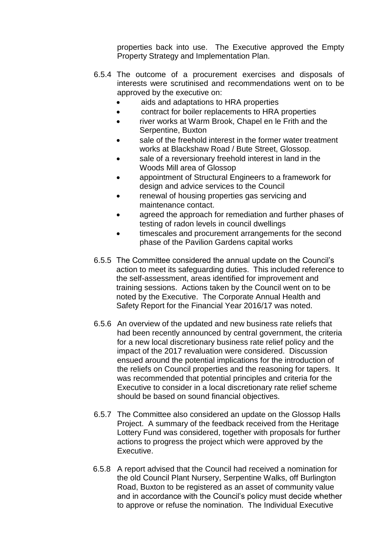properties back into use. The Executive approved the Empty Property Strategy and Implementation Plan.

- 6.5.4 The outcome of a procurement exercises and disposals of interests were scrutinised and recommendations went on to be approved by the executive on:
	- aids and adaptations to HRA properties
	- contract for boiler replacements to HRA properties
	- river works at Warm Brook, Chapel en le Frith and the Serpentine, Buxton
	- sale of the freehold interest in the former water treatment works at Blackshaw Road / Bute Street, Glossop.
	- sale of a reversionary freehold interest in land in the Woods Mill area of Glossop
	- appointment of Structural Engineers to a framework for design and advice services to the Council
	- renewal of housing properties gas servicing and maintenance contact.
	- agreed the approach for remediation and further phases of testing of radon levels in council dwellings
	- timescales and procurement arrangements for the second phase of the Pavilion Gardens capital works
- 6.5.5 The Committee considered the annual update on the Council's action to meet its safeguarding duties. This included reference to the self-assessment, areas identified for improvement and training sessions. Actions taken by the Council went on to be noted by the Executive. The Corporate Annual Health and Safety Report for the Financial Year 2016/17 was noted.
- 6.5.6 An overview of the updated and new business rate reliefs that had been recently announced by central government, the criteria for a new local discretionary business rate relief policy and the impact of the 2017 revaluation were considered. Discussion ensued around the potential implications for the introduction of the reliefs on Council properties and the reasoning for tapers. It was recommended that potential principles and criteria for the Executive to consider in a local discretionary rate relief scheme should be based on sound financial objectives.
- 6.5.7 The Committee also considered an update on the Glossop Halls Project. A summary of the feedback received from the Heritage Lottery Fund was considered, together with proposals for further actions to progress the project which were approved by the Executive.
- 6.5.8 A report advised that the Council had received a nomination for the old Council Plant Nursery, Serpentine Walks, off Burlington Road, Buxton to be registered as an asset of community value and in accordance with the Council's policy must decide whether to approve or refuse the nomination. The Individual Executive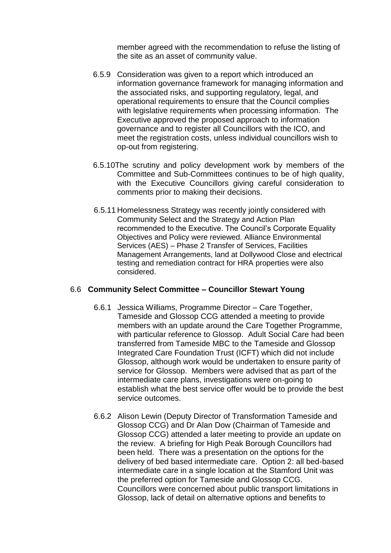member agreed with the recommendation to refuse the listing of the site as an asset of community value.

- 6.5.9 Consideration was given to a report which introduced an information governance framework for managing information and the associated risks, and supporting regulatory, legal, and operational requirements to ensure that the Council complies with legislative requirements when processing information. The Executive approved the proposed approach to information governance and to register all Councillors with the ICO, and meet the registration costs, unless individual councillors wish to op-out from registering.
- 6.5.10The scrutiny and policy development work by members of the Committee and Sub-Committees continues to be of high quality, with the Executive Councillors giving careful consideration to comments prior to making their decisions.
- 6.5.11 Homelessness Strategy was recently jointly considered with Community Select and the Strategy and Action Plan recommended to the Executive. The Council's Corporate Equality Objectives and Policy were reviewed. Alliance Environmental Services (AES) – Phase 2 Transfer of Services, Facilities Management Arrangements, land at Dollywood Close and electrical testing and remediation contract for HRA properties were also considered.

#### 6.6 **Community Select Committee – Councillor Stewart Young**

- 6.6.1 Jessica Williams, Programme Director Care Together, Tameside and Glossop CCG attended a meeting to provide members with an update around the Care Together Programme, with particular reference to Glossop. Adult Social Care had been transferred from Tameside MBC to the Tameside and Glossop Integrated Care Foundation Trust (ICFT) which did not include Glossop, although work would be undertaken to ensure parity of service for Glossop. Members were advised that as part of the intermediate care plans, investigations were on-going to establish what the best service offer would be to provide the best service outcomes.
- 6.6.2 Alison Lewin (Deputy Director of Transformation Tameside and Glossop CCG) and Dr Alan Dow (Chairman of Tameside and Glossop CCG) attended a later meeting to provide an update on the review. A briefing for High Peak Borough Councillors had been held. There was a presentation on the options for the delivery of bed based intermediate care. Option 2: all bed-based intermediate care in a single location at the Stamford Unit was the preferred option for Tameside and Glossop CCG. Councillors were concerned about public transport limitations in Glossop, lack of detail on alternative options and benefits to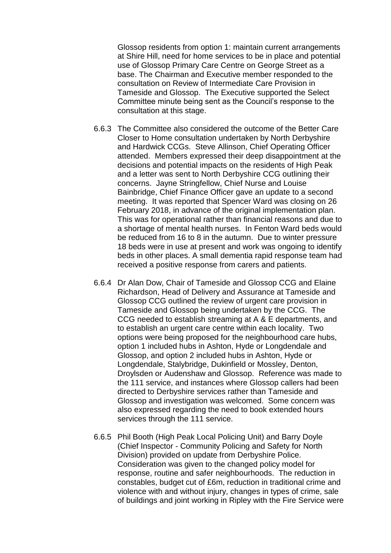Glossop residents from option 1: maintain current arrangements at Shire Hill, need for home services to be in place and potential use of Glossop Primary Care Centre on George Street as a base. The Chairman and Executive member responded to the consultation on Review of Intermediate Care Provision in Tameside and Glossop. The Executive supported the Select Committee minute being sent as the Council's response to the consultation at this stage.

- 6.6.3 The Committee also considered the outcome of the Better Care Closer to Home consultation undertaken by North Derbyshire and Hardwick CCGs. Steve Allinson, Chief Operating Officer attended. Members expressed their deep disappointment at the decisions and potential impacts on the residents of High Peak and a letter was sent to North Derbyshire CCG outlining their concerns. Jayne Stringfellow, Chief Nurse and Louise Bainbridge, Chief Finance Officer gave an update to a second meeting. It was reported that Spencer Ward was closing on 26 February 2018, in advance of the original implementation plan. This was for operational rather than financial reasons and due to a shortage of mental health nurses. In Fenton Ward beds would be reduced from 16 to 8 in the autumn. Due to winter pressure 18 beds were in use at present and work was ongoing to identify beds in other places. A small dementia rapid response team had received a positive response from carers and patients.
- 6.6.4 Dr Alan Dow, Chair of Tameside and Glossop CCG and Elaine Richardson, Head of Delivery and Assurance at Tameside and Glossop CCG outlined the review of urgent care provision in Tameside and Glossop being undertaken by the CCG. The CCG needed to establish streaming at A & E departments, and to establish an urgent care centre within each locality. Two options were being proposed for the neighbourhood care hubs, option 1 included hubs in Ashton, Hyde or Longdendale and Glossop, and option 2 included hubs in Ashton, Hyde or Longdendale, Stalybridge, Dukinfield or Mossley, Denton, Droylsden or Audenshaw and Glossop. Reference was made to the 111 service, and instances where Glossop callers had been directed to Derbyshire services rather than Tameside and Glossop and investigation was welcomed. Some concern was also expressed regarding the need to book extended hours services through the 111 service.
- 6.6.5 Phil Booth (High Peak Local Policing Unit) and Barry Doyle (Chief Inspector - Community Policing and Safety for North Division) provided on update from Derbyshire Police. Consideration was given to the changed policy model for response, routine and safer neighbourhoods. The reduction in constables, budget cut of £6m, reduction in traditional crime and violence with and without injury, changes in types of crime, sale of buildings and joint working in Ripley with the Fire Service were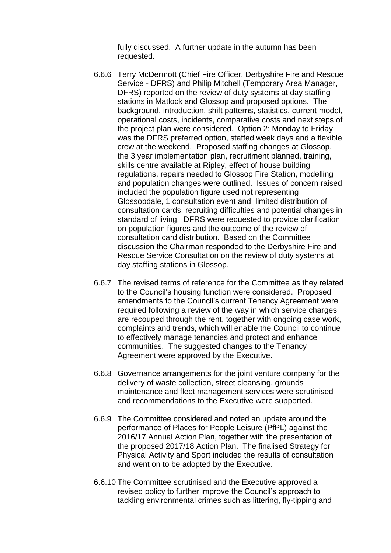fully discussed. A further update in the autumn has been requested.

- 6.6.6 Terry McDermott (Chief Fire Officer, Derbyshire Fire and Rescue Service - DFRS) and Philip Mitchell (Temporary Area Manager, DFRS) reported on the review of duty systems at day staffing stations in Matlock and Glossop and proposed options.The background, introduction, shift patterns, statistics, current model, operational costs, incidents, comparative costs and next steps of the project plan were considered. Option 2: Monday to Friday was the DFRS preferred option, staffed week days and a flexible crew at the weekend. Proposed staffing changes at Glossop, the 3 year implementation plan, recruitment planned, training, skills centre available at Ripley, effect of house building regulations, repairs needed to Glossop Fire Station, modelling and population changes were outlined. Issues of concern raised included the population figure used not representing Glossopdale, 1 consultation event and limited distribution of consultation cards, recruiting difficulties and potential changes in standard of living. DFRS were requested to provide clarification on population figures and the outcome of the review of consultation card distribution. Based on the Committee discussion the Chairman responded to the Derbyshire Fire and Rescue Service Consultation on the review of duty systems at day staffing stations in Glossop.
- 6.6.7 The revised terms of reference for the Committee as they related to the Council's housing function were considered. Proposed amendments to the Council's current Tenancy Agreement were required following a review of the way in which service charges are recouped through the rent, together with ongoing case work, complaints and trends, which will enable the Council to continue to effectively manage tenancies and protect and enhance communities. The suggested changes to the Tenancy Agreement were approved by the Executive.
- 6.6.8 Governance arrangements for the joint venture company for the delivery of waste collection, street cleansing, grounds maintenance and fleet management services were scrutinised and recommendations to the Executive were supported.
- 6.6.9 The Committee considered and noted an update around the performance of Places for People Leisure (PfPL) against the 2016/17 Annual Action Plan, together with the presentation of the proposed 2017/18 Action Plan. The finalised Strategy for Physical Activity and Sport included the results of consultation and went on to be adopted by the Executive.
- 6.6.10 The Committee scrutinised and the Executive approved a revised policy to further improve the Council's approach to tackling environmental crimes such as littering, fly-tipping and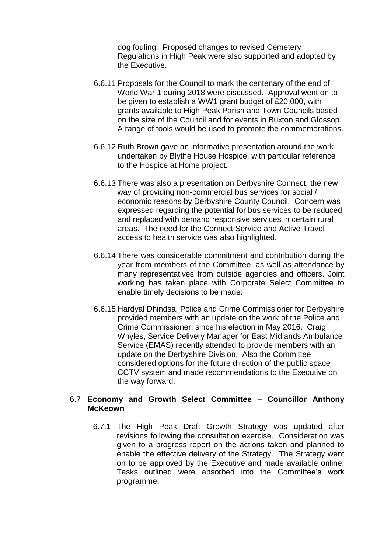dog fouling. Proposed changes to revised Cemetery Regulations in High Peak were also supported and adopted by the Executive.

- 6.6.11 Proposals for the Council to mark the centenary of the end of World War 1 during 2018 were discussed. Approval went on to be given to establish a WW1 grant budget of £20,000, with grants available to High Peak Parish and Town Councils based on the size of the Council and for events in Buxton and Glossop. A range of tools would be used to promote the commemorations.
- 6.6.12 Ruth Brown gave an informative presentation around the work undertaken by Blythe House Hospice, with particular reference to the Hospice at Home project.
- 6.6.13 There was also a presentation on Derbyshire Connect, the new way of providing non-commercial bus services for social / economic reasons by Derbyshire County Council. Concern was expressed regarding the potential for bus services to be reduced and replaced with demand responsive services in certain rural areas. The need for the Connect Service and Active Travel access to health service was also highlighted.
- 6.6.14 There was considerable commitment and contribution during the year from members of the Committee, as well as attendance by many representatives from outside agencies and officers. Joint working has taken place with Corporate Select Committee to enable timely decisions to be made.
- 6.6.15 Hardyal Dhindsa, Police and Crime Commissioner for Derbyshire provided members with an update on the work of the Police and Crime Commissioner, since his election in May 2016. Craig Whyles, Service Delivery Manager for East Midlands Ambulance Service (EMAS) recently attended to provide members with an update on the Derbyshire Division. Also the Committee considered options for the future direction of the public space CCTV system and made recommendations to the Executive on the way forward.

### 6.7 **Economy and Growth Select Committee – Councillor Anthony McKeown**

6.7.1 The High Peak Draft Growth Strategy was updated after revisions following the consultation exercise. Consideration was given to a progress report on the actions taken and planned to enable the effective delivery of the Strategy. The Strategy went on to be approved by the Executive and made available online. Tasks outlined were absorbed into the Committee's work programme.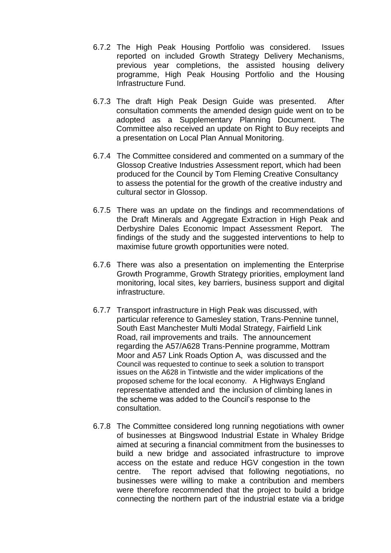- 6.7.2 The High Peak Housing Portfolio was considered. Issues reported on included Growth Strategy Delivery Mechanisms, previous year completions, the assisted housing delivery programme, High Peak Housing Portfolio and the Housing Infrastructure Fund.
- 6.7.3 The draft High Peak Design Guide was presented. After consultation comments the amended design guide went on to be adopted as a Supplementary Planning Document. The Committee also received an update on Right to Buy receipts and a presentation on Local Plan Annual Monitoring.
- 6.7.4 The Committee considered and commented on a summary of the Glossop Creative Industries Assessment report, which had been produced for the Council by Tom Fleming Creative Consultancy to assess the potential for the growth of the creative industry and cultural sector in Glossop.
- 6.7.5 There was an update on the findings and recommendations of the Draft Minerals and Aggregate Extraction in High Peak and Derbyshire Dales Economic Impact Assessment Report. The findings of the study and the suggested interventions to help to maximise future growth opportunities were noted.
- 6.7.6 There was also a presentation on implementing the Enterprise Growth Programme, Growth Strategy priorities, employment land monitoring, local sites, key barriers, business support and digital infrastructure.
- 6.7.7 Transport infrastructure in High Peak was discussed, with particular reference to Gamesley station, Trans-Pennine tunnel, South East Manchester Multi Modal Strategy, Fairfield Link Road, rail improvements and trails. The announcement regarding the A57/A628 Trans-Pennine programme, Mottram Moor and A57 Link Roads Option A, was discussed and the Council was requested to continue to seek a solution to transport issues on the A628 in Tintwistle and the wider implications of the proposed scheme for the local economy. A Highways England representative attended and the inclusion of climbing lanes in the scheme was added to the Council's response to the consultation.
- 6.7.8 The Committee considered long running negotiations with owner of businesses at Bingswood Industrial Estate in Whaley Bridge aimed at securing a financial commitment from the businesses to build a new bridge and associated infrastructure to improve access on the estate and reduce HGV congestion in the town centre. The report advised that following negotiations, no businesses were willing to make a contribution and members were therefore recommended that the project to build a bridge connecting the northern part of the industrial estate via a bridge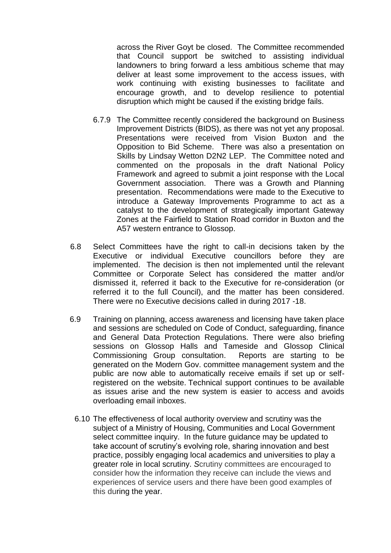across the River Goyt be closed. The Committee recommended that Council support be switched to assisting individual landowners to bring forward a less ambitious scheme that may deliver at least some improvement to the access issues, with work continuing with existing businesses to facilitate and encourage growth, and to develop resilience to potential disruption which might be caused if the existing bridge fails.

- 6.7.9 The Committee recently considered the background on Business Improvement Districts (BIDS), as there was not yet any proposal. Presentations were received from Vision Buxton and the Opposition to Bid Scheme. There was also a presentation on Skills by Lindsay Wetton D2N2 LEP. The Committee noted and commented on the proposals in the draft National Policy Framework and agreed to submit a joint response with the Local Government association. There was a Growth and Planning presentation. Recommendations were made to the Executive to introduce a Gateway Improvements Programme to act as a catalyst to the development of strategically important Gateway Zones at the Fairfield to Station Road corridor in Buxton and the A57 western entrance to Glossop.
- 6.8 Select Committees have the right to call-in decisions taken by the Executive or individual Executive councillors before they are implemented. The decision is then not implemented until the relevant Committee or Corporate Select has considered the matter and/or dismissed it, referred it back to the Executive for re-consideration (or referred it to the full Council), and the matter has been considered. There were no Executive decisions called in during 2017 -18.
- 6.9 Training on planning, access awareness and licensing have taken place and sessions are scheduled on Code of Conduct, safeguarding, finance and General Data Protection Regulations. There were also briefing sessions on Glossop Halls and Tameside and Glossop Clinical Commissioning Group consultation. Reports are starting to be generated on the Modern Gov. committee management system and the public are now able to automatically receive emails if set up or selfregistered on the website. Technical support continues to be available as issues arise and the new system is easier to access and avoids overloading email inboxes.
	- 6.10 The effectiveness of local authority overview and scrutiny was the subject of a Ministry of Housing, Communities and Local Government select committee inquiry. In the future guidance may be updated to take account of scrutiny's evolving role, sharing innovation and best practice, possibly engaging local academics and universities to play a greater role in local scrutiny. *S*crutiny committees are encouraged to consider how the information they receive can include the views and experiences of service users and there have been good examples of this during the year.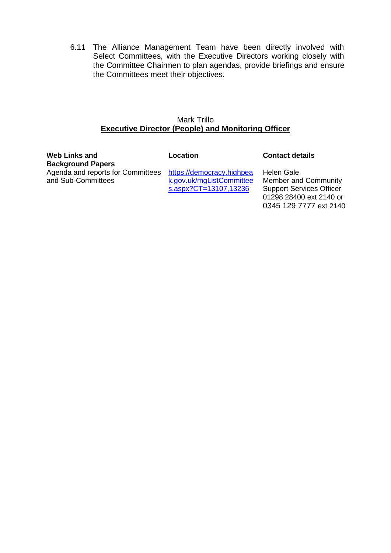6.11 The Alliance Management Team have been directly involved with Select Committees, with the Executive Directors working closely with the Committee Chairmen to plan agendas, provide briefings and ensure the Committees meet their objectives.

## Mark Trillo **Executive Director (People) and Monitoring Officer**

| Web Links and<br><b>Background Papers</b>               | Location                                                                       | <b>Contact details</b>                                                                                                                   |
|---------------------------------------------------------|--------------------------------------------------------------------------------|------------------------------------------------------------------------------------------------------------------------------------------|
| Agenda and reports for Committees<br>and Sub-Committees | https://democracy.highpea<br>k.gov.uk/mgListCommittee<br>s.aspx?CT=13107,13236 | <b>Helen Gale</b><br><b>Member and Community</b><br><b>Support Services Officer</b><br>01298 28400 ext 2140 or<br>0345 129 7777 ext 2140 |